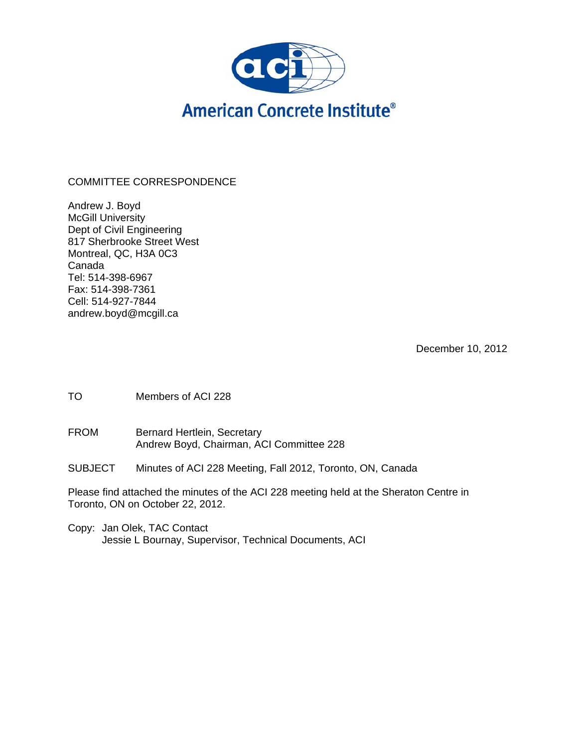

# COMMITTEE CORRESPONDENCE

Andrew J. Boyd **McGill University** Dept of Civil Engineering 817 Sherbrooke Street West Montreal, QC, H3A 0C3 Canada Tel: 514-398-6967 Fax: 514-398-7361 Cell: 514-927-7844 andrew.boyd@mcgill.ca

December 10, 2012

TO Members of ACI 228

FROM Bernard Hertlein, Secretary Andrew Boyd, Chairman, ACI Committee 228

SUBJECT Minutes of ACI 228 Meeting, Fall 2012, Toronto, ON, Canada

Please find attached the minutes of the ACI 228 meeting held at the Sheraton Centre in Toronto, ON on October 22, 2012.

Copy: Jan Olek, TAC Contact Jessie L Bournay, Supervisor, Technical Documents, ACI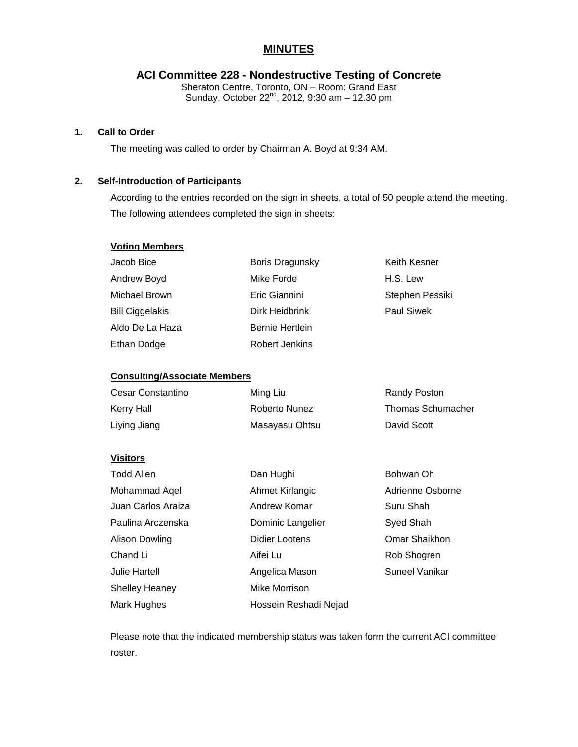# **MINUTES**

# **ACI Committee 228 - Nondestructive Testing of Concrete**

Sheraton Centre, Toronto, ON – Room: Grand East Sunday, October 22 $^{\text{nd}}$ , 2012, 9:30 am - 12.30 pm

## **1. Call to Order**

The meeting was called to order by Chairman A. Boyd at 9:34 AM.

# **2. Self-Introduction of Participants**

According to the entries recorded on the sign in sheets, a total of 50 people attend the meeting. The following attendees completed the sign in sheets:

#### **Voting Members**

| Jacob Bice             | Boris Dragunsky | Keith Kesner      |
|------------------------|-----------------|-------------------|
| Andrew Boyd            | Mike Forde      | H.S. Lew          |
| Michael Brown          | Eric Giannini   | Stephen Pessiki   |
| <b>Bill Ciggelakis</b> | Dirk Heidbrink  | <b>Paul Siwek</b> |
| Aldo De La Haza        | Bernie Hertlein |                   |
| Ethan Dodge            | Robert Jenkins  |                   |

#### **Consulting/Associate Members**

| Cesar Constantino | Ming Liu       | Randy Poston             |
|-------------------|----------------|--------------------------|
| Kerry Hall        | Roberto Nunez  | <b>Thomas Schumacher</b> |
| Liying Jiang      | Masayasu Ohtsu | David Scott              |

#### **Visitors**

| <b>Todd Allen</b>     | Dan Hughi             | Bohwan Oh        |
|-----------------------|-----------------------|------------------|
| Mohammad Aqel         | Ahmet Kirlangic       | Adrienne Osborne |
| Juan Carlos Araiza    | Andrew Komar          | Suru Shah        |
| Paulina Arczenska     | Dominic Langelier     | Syed Shah        |
| Alison Dowling        | <b>Didier Lootens</b> | Omar Shaikhon    |
| Chand Li              | Aifei Lu              | Rob Shogren      |
| <b>Julie Hartell</b>  | Angelica Mason        | Suneel Vanikar   |
| <b>Shelley Heaney</b> | Mike Morrison         |                  |
| Mark Hughes           | Hossein Reshadi Nejad |                  |

Please note that the indicated membership status was taken form the current ACI committee roster.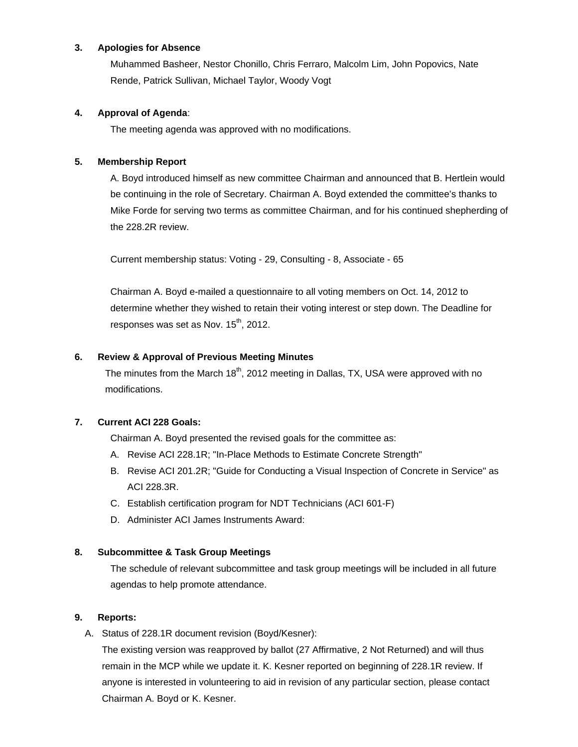## **3. Apologies for Absence**

Muhammed Basheer, Nestor Chonillo, Chris Ferraro, Malcolm Lim, John Popovics, Nate Rende, Patrick Sullivan, Michael Taylor, Woody Vogt

## **4. Approval of Agenda**:

The meeting agenda was approved with no modifications.

## **5. Membership Report**

A. Boyd introduced himself as new committee Chairman and announced that B. Hertlein would be continuing in the role of Secretary. Chairman A. Boyd extended the committee's thanks to Mike Forde for serving two terms as committee Chairman, and for his continued shepherding of the 228.2R review.

Current membership status: Voting - 29, Consulting - 8, Associate - 65

Chairman A. Boyd e-mailed a questionnaire to all voting members on Oct. 14, 2012 to determine whether they wished to retain their voting interest or step down. The Deadline for responses was set as Nov.  $15<sup>th</sup>$ , 2012.

## **6. Review & Approval of Previous Meeting Minutes**

The minutes from the March  $18<sup>th</sup>$ , 2012 meeting in Dallas, TX, USA were approved with no modifications.

## **7. Current ACI 228 Goals:**

Chairman A. Boyd presented the revised goals for the committee as:

- A. Revise ACI 228.1R; "In-Place Methods to Estimate Concrete Strength"
- B. Revise ACI 201.2R; "Guide for Conducting a Visual Inspection of Concrete in Service" as ACI 228.3R.
- C. Establish certification program for NDT Technicians (ACI 601-F)
- D. Administer ACI James Instruments Award:

## **8. Subcommittee & Task Group Meetings**

The schedule of relevant subcommittee and task group meetings will be included in all future agendas to help promote attendance.

## **9. Reports:**

A. Status of 228.1R document revision (Boyd/Kesner):

The existing version was reapproved by ballot (27 Affirmative, 2 Not Returned) and will thus remain in the MCP while we update it. K. Kesner reported on beginning of 228.1R review. If anyone is interested in volunteering to aid in revision of any particular section, please contact Chairman A. Boyd or K. Kesner.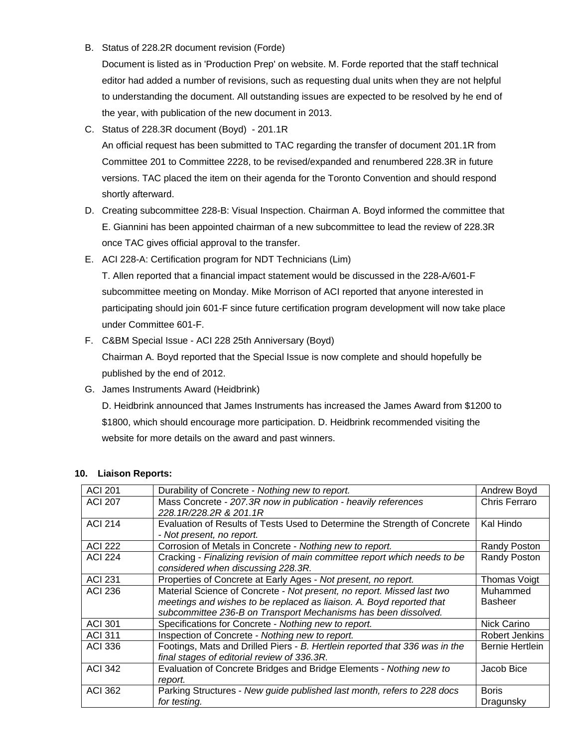B. Status of 228.2R document revision (Forde)

Document is listed as in 'Production Prep' on website. M. Forde reported that the staff technical editor had added a number of revisions, such as requesting dual units when they are not helpful to understanding the document. All outstanding issues are expected to be resolved by he end of the year, with publication of the new document in 2013.

C. Status of 228.3R document (Boyd) - 201.1R

An official request has been submitted to TAC regarding the transfer of document 201.1R from Committee 201 to Committee 2228, to be revised/expanded and renumbered 228.3R in future versions. TAC placed the item on their agenda for the Toronto Convention and should respond shortly afterward.

- D. Creating subcommittee 228-B: Visual Inspection. Chairman A. Boyd informed the committee that E. Giannini has been appointed chairman of a new subcommittee to lead the review of 228.3R once TAC gives official approval to the transfer.
- E. ACI 228-A: Certification program for NDT Technicians (Lim) T. Allen reported that a financial impact statement would be discussed in the 228-A/601-F subcommittee meeting on Monday. Mike Morrison of ACI reported that anyone interested in

participating should join 601-F since future certification program development will now take place under Committee 601-F.

F. C&BM Special Issue - ACI 228 25th Anniversary (Boyd)

Chairman A. Boyd reported that the Special Issue is now complete and should hopefully be published by the end of 2012.

G. James Instruments Award (Heidbrink)

D. Heidbrink announced that James Instruments has increased the James Award from \$1200 to \$1800, which should encourage more participation. D. Heidbrink recommended visiting the website for more details on the award and past winners.

| <b>ACI 201</b> | Durability of Concrete - Nothing new to report.                             | Andrew Boyd     |
|----------------|-----------------------------------------------------------------------------|-----------------|
| <b>ACI 207</b> | Mass Concrete - 207.3R now in publication - heavily references              | Chris Ferraro   |
|                | 228.1R/228.2R & 201.1R                                                      |                 |
| <b>ACI 214</b> | Evaluation of Results of Tests Used to Determine the Strength of Concrete   | Kal Hindo       |
|                | - Not present, no report.                                                   |                 |
| <b>ACI 222</b> | Corrosion of Metals in Concrete - Nothing new to report.                    | Randy Poston    |
| <b>ACI 224</b> | Cracking - Finalizing revision of main committee report which needs to be   | Randy Poston    |
|                | considered when discussing 228.3R.                                          |                 |
| <b>ACI 231</b> | Properties of Concrete at Early Ages - Not present, no report.              | Thomas Voigt    |
| <b>ACI 236</b> | Material Science of Concrete - Not present, no report. Missed last two      | Muhammed        |
|                | meetings and wishes to be replaced as liaison. A. Boyd reported that        | <b>Basheer</b>  |
|                | subcommittee 236-B on Transport Mechanisms has been dissolved.              |                 |
| <b>ACI 301</b> | Specifications for Concrete - Nothing new to report.                        | Nick Carino     |
| <b>ACI 311</b> | Inspection of Concrete - Nothing new to report.                             | Robert Jenkins  |
| <b>ACI 336</b> | Footings, Mats and Drilled Piers - B. Hertlein reported that 336 was in the | Bernie Hertlein |
|                | final stages of editorial review of 336.3R.                                 |                 |
| <b>ACI 342</b> | Evaluation of Concrete Bridges and Bridge Elements - Nothing new to         | Jacob Bice      |
|                | report.                                                                     |                 |
| <b>ACI 362</b> | Parking Structures - New guide published last month, refers to 228 docs     | <b>Boris</b>    |
|                | for testing.                                                                | Dragunsky       |

#### **10. Liaison Reports:**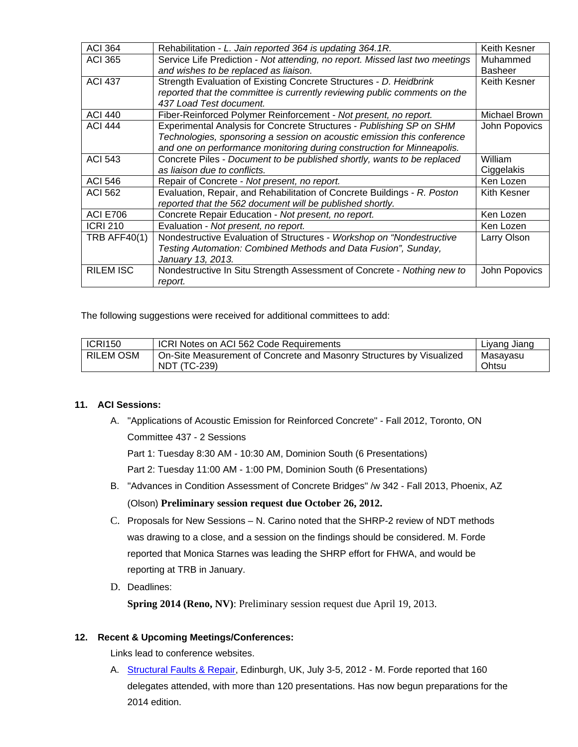| <b>ACI 364</b>   | Rehabilitation - L. Jain reported 364 is updating 364.1R.                    | Keith Kesner         |
|------------------|------------------------------------------------------------------------------|----------------------|
| <b>ACI 365</b>   | Service Life Prediction - Not attending, no report. Missed last two meetings | Muhammed             |
|                  | and wishes to be replaced as liaison.                                        | <b>Basheer</b>       |
| <b>ACI 437</b>   | Strength Evaluation of Existing Concrete Structures - D. Heidbrink           | Keith Kesner         |
|                  | reported that the committee is currently reviewing public comments on the    |                      |
|                  | 437 Load Test document.                                                      |                      |
| <b>ACI 440</b>   | Fiber-Reinforced Polymer Reinforcement - Not present, no report.             | <b>Michael Brown</b> |
| <b>ACI 444</b>   | Experimental Analysis for Concrete Structures - Publishing SP on SHM         | John Popovics        |
|                  | Technologies, sponsoring a session on acoustic emission this conference      |                      |
|                  | and one on performance monitoring during construction for Minneapolis.       |                      |
| <b>ACI 543</b>   | Concrete Piles - Document to be published shortly, wants to be replaced      | William              |
|                  | as liaison due to conflicts.                                                 | Ciggelakis           |
| <b>ACI 546</b>   | Repair of Concrete - Not present, no report.                                 | Ken Lozen            |
| <b>ACI 562</b>   | Evaluation, Repair, and Rehabilitation of Concrete Buildings - R. Poston     | Kith Kesner          |
|                  | reported that the 562 document will be published shortly.                    |                      |
| <b>ACI E706</b>  | Concrete Repair Education - Not present, no report.                          | Ken Lozen            |
| <b>ICRI 210</b>  | Evaluation - Not present, no report.                                         | Ken Lozen            |
| TRB AFF40 $(1)$  | Nondestructive Evaluation of Structures - Workshop on "Nondestructive        | Larry Olson          |
|                  | Testing Automation: Combined Methods and Data Fusion", Sunday,               |                      |
|                  | January 13, 2013.                                                            |                      |
| <b>RILEM ISC</b> | Nondestructive In Situ Strength Assessment of Concrete - Nothing new to      | John Popovics        |
|                  | report.                                                                      |                      |

The following suggestions were received for additional committees to add:

| <b>ICRI150</b>   | ICRI Notes on ACI 562 Code Requirements                              | Liyang Jiang |
|------------------|----------------------------------------------------------------------|--------------|
| <b>RILEM OSM</b> | On-Site Measurement of Concrete and Masonry Structures by Visualized | Masayasu     |
|                  | <b>NDT (TC-239)</b>                                                  | Ohtsu        |

## **11. ACI Sessions:**

- A. "Applications of Acoustic Emission for Reinforced Concrete" Fall 2012, Toronto, ON Committee 437 - 2 Sessions Part 1: Tuesday 8:30 AM - 10:30 AM, Dominion South (6 Presentations) Part 2: Tuesday 11:00 AM - 1:00 PM, Dominion South (6 Presentations)
- B. "Advances in Condition Assessment of Concrete Bridges" /w 342 Fall 2013, Phoenix, AZ (Olson) **Preliminary session request due October 26, 2012.**
- C. Proposals for New Sessions N. Carino noted that the SHRP-2 review of NDT methods was drawing to a close, and a session on the findings should be considered. M. Forde reported that Monica Starnes was leading the SHRP effort for FHWA, and would be reporting at TRB in January.
- D. Deadlines:

**Spring 2014 (Reno, NV)**: Preliminary session request due April 19, 2013.

## **12. Recent & Upcoming Meetings/Conferences:**

Links lead to conference websites.

A. Structural Faults & Repair, Edinburgh, UK, July 3-5, 2012 - M. Forde reported that 160 delegates attended, with more than 120 presentations. Has now begun preparations for the 2014 edition.